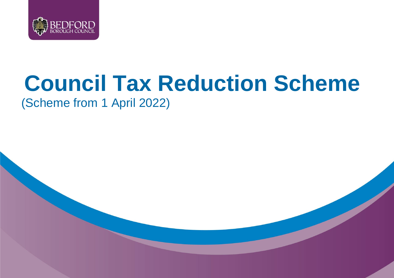

# **Council Tax Reduction Scheme**

(Scheme from 1 April 2022)

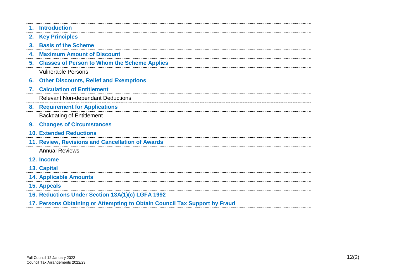|    | 1. Introduction                                                            |
|----|----------------------------------------------------------------------------|
|    | 2. Key Principles                                                          |
|    | 3. Basis of the Scheme                                                     |
|    | <b>4. Maximum Amount of Discount</b>                                       |
|    | 5. Classes of Person to Whom the Scheme Applies                            |
|    | <b>Vulnerable Persons</b>                                                  |
| 6. | <b>Other Discounts, Relief and Exemptions</b>                              |
|    | 7. Calculation of Entitlement                                              |
|    | <b>Relevant Non-dependant Deductions</b>                                   |
|    | 8. Requirement for Applications                                            |
|    | <b>Backdating of Entitlement</b>                                           |
|    | 9. Changes of Circumstances                                                |
|    | <b>10. Extended Reductions</b>                                             |
|    | 11. Review, Revisions and Cancellation of Awards                           |
|    | <b>Annual Reviews</b>                                                      |
|    | 12. Income                                                                 |
|    | 13. Capital                                                                |
|    | <b>14. Applicable Amounts</b>                                              |
|    | 15. Appeals                                                                |
|    | 16. Reductions Under Section 13A(1)(c) LGFA 1992                           |
|    | 17. Persons Obtaining or Attempting to Obtain Council Tax Support by Fraud |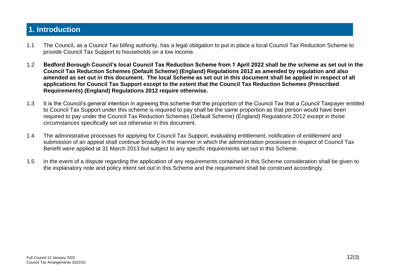## **1. Introduction**

- 1.1 The Council, as a Council Tax billing authority, has a legal obligation to put in place a local Council Tax Reduction Scheme to provide Council Tax Support to households on a low income.
- 1.2 **Bedford Borough Council's local Council Tax Reduction Scheme from 1 April 2022 shall be the scheme as set out in the Council Tax Reduction Schemes (Default Scheme) (England) Regulations 2012 as amended by regulation and also amended as set out in this document. The local Scheme as set out in this document shall be applied in respect of all applications for Council Tax Support except to the extent that the Council Tax Reduction Schemes (Prescribed Requirements) (England) Regulations 2012 require otherwise.**
- 1.3 It is the Council's general intention in agreeing this scheme that the proportion of the Council Tax that a Council Taxpayer entitled to Council Tax Support under this scheme is required to pay shall be the same proportion as that person would have been required to pay under the Council Tax Reduction Schemes (Default Scheme) (England) Regulations 2012 except in those circumstances specifically set out otherwise in this document.
- 1.4 The administrative processes for applying for Council Tax Support, evaluating entitlement, notification of entitlement and submission of an appeal shall continue broadly in the manner in which the administration processes in respect of Council Tax Benefit were applied at 31 March 2013 but subject to any specific requirements set out in this Scheme.
- 1.5 In the event of a dispute regarding the application of any requirements contained in this Scheme consideration shall be given to the explanatory note and policy intent set out in this Scheme and the requirement shall be construed accordingly.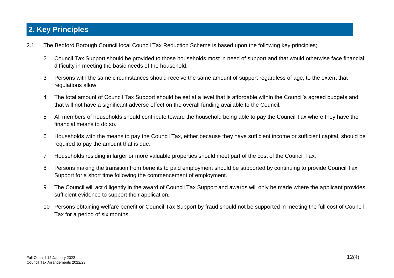# **2. Key Principles**

- 2.1 The Bedford Borough Council local Council Tax Reduction Scheme is based upon the following key principles;
	- 2 Council Tax Support should be provided to those households most in need of support and that would otherwise face financial difficulty in meeting the basic needs of the household.
	- 3 Persons with the same circumstances should receive the same amount of support regardless of age, to the extent that regulations allow.
	- 4 The total amount of Council Tax Support should be set at a level that is affordable within the Council's agreed budgets and that will not have a significant adverse effect on the overall funding available to the Council.
	- 5 All members of households should contribute toward the household being able to pay the Council Tax where they have the financial means to do so.
	- 6 Households with the means to pay the Council Tax, either because they have sufficient income or sufficient capital, should be required to pay the amount that is due.
	- 7 Households residing in larger or more valuable properties should meet part of the cost of the Council Tax.
	- 8 Persons making the transition from benefits to paid employment should be supported by continuing to provide Council Tax Support for a short time following the commencement of employment.
	- 9 The Council will act diligently in the award of Council Tax Support and awards will only be made where the applicant provides sufficient evidence to support their application.
	- 10 Persons obtaining welfare benefit or Council Tax Support by fraud should not be supported in meeting the full cost of Council Tax for a period of six months.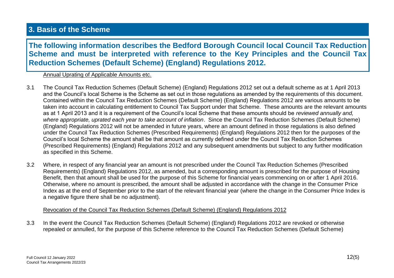## **3. Basis of the Scheme**

**The following information describes the Bedford Borough Council local Council Tax Reduction Scheme and must be interpreted with reference to the Key Principles and the Council Tax Reduction Schemes (Default Scheme) (England) Regulations 2012.**

#### Annual Uprating of Applicable Amounts etc.

- 3.1 The Council Tax Reduction Schemes (Default Scheme) (England) Regulations 2012 set out a default scheme as at 1 April 2013 and the Council's local Scheme is the Scheme as set out in those regulations as amended by the requirements of this document. Contained within the Council Tax Reduction Schemes (Default Scheme) (England) Regulations 2012 are various amounts to be taken into account in calculating entitlement to Council Tax Support under that Scheme. These amounts are the relevant amounts as at 1 April 2013 and it is a requirement of the Council's local Scheme that these amounts should be *reviewed annually and, where appropriate, uprated each year to take account of inflation*. Since the Council Tax Reduction Schemes (Default Scheme) (England) Regulations 2012 will not be amended in future years, where an amount defined in those regulations is also defined under the Council Tax Reduction Schemes (Prescribed Requirements) (England) Regulations 2012 then for the purposes of the Council's local Scheme the amount shall be that amount as currently defined under the Council Tax Reduction Schemes (Prescribed Requirements) (England) Regulations 2012 and any subsequent amendments but subject to any further modification as specified in this Scheme.
- 3.2 Where, in respect of any financial year an amount is not prescribed under the Council Tax Reduction Schemes (Prescribed Requirements) (England) Regulations 2012, as amended, but a corresponding amount is prescribed for the purpose of Housing Benefit, then that amount shall be used for the purpose of this Scheme for financial years commencing on or after 1 April 2016. Otherwise, where no amount is prescribed, the amount shall be adjusted in accordance with the change in the Consumer Price Index as at the end of September prior to the start of the relevant financial year (where the change in the Consumer Price Index is a negative figure there shall be no adjustment).

#### Revocation of the Council Tax Reduction Schemes (Default Scheme) (England) Regulations 2012

3.3 In the event the Council Tax Reduction Schemes (Default Scheme) (England) Regulations 2012 are revoked or otherwise repealed or annulled, for the purpose of this Scheme reference to the Council Tax Reduction Schemes (Default Scheme)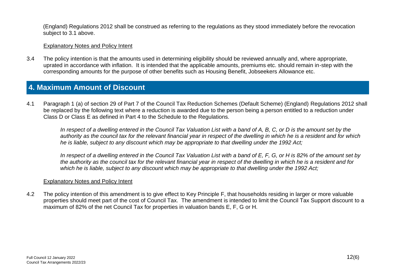(England) Regulations 2012 shall be construed as referring to the regulations as they stood immediately before the revocation subject to 3.1 above.

#### Explanatory Notes and Policy Intent

3.4 The policy intention is that the amounts used in determining eligibility should be reviewed annually and, where appropriate, uprated in accordance with inflation. It is intended that the applicable amounts, premiums etc. should remain in-step with the corresponding amounts for the purpose of other benefits such as Housing Benefit, Jobseekers Allowance etc.

### **4. Maximum Amount of Discount**

4.1 Paragraph 1 (a) of section 29 of Part 7 of the Council Tax Reduction Schemes (Default Scheme) (England) Regulations 2012 shall be replaced by the following text where a reduction is awarded due to the person being a person entitled to a reduction under Class D or Class E as defined in Part 4 to the Schedule to the Regulations.

In respect of a dwelling entered in the Council Tax Valuation List with a band of A, B, C, or D is the amount set by the *authority as the council tax for the relevant financial year in respect of the dwelling in which he is a resident and for which he is liable, subject to any discount which may be appropriate to that dwelling under the 1992 Act;* 

*In respect of a dwelling entered in the Council Tax Valuation List with a band of E, F, G, or H is 82% of the amount set by the authority as the council tax for the relevant financial year in respect of the dwelling in which he is a resident and for which he is liable, subject to any discount which may be appropriate to that dwelling under the 1992 Act;*

#### Explanatory Notes and Policy Intent

4.2 The policy intention of this amendment is to give effect to Key Principle F, that households residing in larger or more valuable properties should meet part of the cost of Council Tax. The amendment is intended to limit the Council Tax Support discount to a maximum of 82% of the net Council Tax for properties in valuation bands E, F, G or H.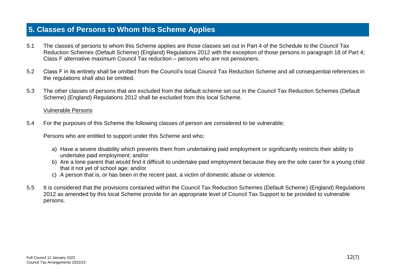### **5. Classes of Persons to Whom this Scheme Applies**

- 5.1 The classes of persons to whom this Scheme applies are those classes set out in Part 4 of the Schedule to the Council Tax Reduction Schemes (Default Scheme) (England) Regulations 2012 with the exception of those persons in paragraph 18 of Part 4; Class F alternative maximum Council Tax reduction – persons who are not pensioners.
- 5.2 Class F in its entirety shall be omitted from the Council's local Council Tax Reduction Scheme and all consequential references in the regulations shall also be omitted.
- 5.3 The other classes of persons that are excluded from the default scheme set out in the Council Tax Reduction Schemes (Default Scheme) (England) Regulations 2012 shall be excluded from this local Scheme.

#### Vulnerable Persons

5.4 For the purposes of this Scheme the following classes of person are considered to be vulnerable;

Persons who are entitled to support under this Scheme and who;

- a) Have a severe disability which prevents them from undertaking paid employment or significantly restricts their ability to undertake paid employment; and/or
- b) Are a lone parent that would find it difficult to undertake paid employment because they are the sole carer for a young child that it not yet of school age; and/or
- c) A person that is, or has been in the recent past, a victim of domestic abuse or violence.
- 5.5 It is considered that the provisions contained within the Council Tax Reduction Schemes (Default Scheme) (England) Regulations 2012 as amended by this local Scheme provide for an appropriate level of Council Tax Support to be provided to vulnerable persons.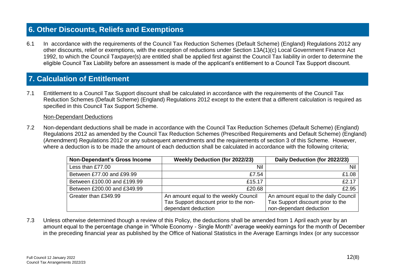# **6. Other Discounts, Reliefs and Exemptions**

6.1 In accordance with the requirements of the Council Tax Reduction Schemes (Default Scheme) (England) Regulations 2012 any other discounts, relief or exemptions, with the exception of reductions under Section 13A(1)(c) Local Government Finance Act 1992, to which the Council Taxpayer(s) are entitled shall be applied first against the Council Tax liability in order to determine the eligible Council Tax Liability before an assessment is made of the applicant's entitlement to a Council Tax Support discount. **Calculation of Entitlement**

# **7. Calculation of Entitlement**

7.1 Entitlement to a Council Tax Support discount shall be calculated in accordance with the requirements of the Council Tax Reduction Schemes (Default Scheme) (England) Regulations 2012 except to the extent that a different calculation is required as specified in this Council Tax Support Scheme.

#### Non-Dependant Deductions

7.2 Non-dependant deductions shall be made in accordance with the Council Tax Reduction Schemes (Default Scheme) (England) Regulations 2012 as amended by the Council Tax Reduction Schemes (Prescribed Requirements and Default Scheme) (England) (Amendment) Regulations 2012 or any subsequent amendments and the requirements of section 3 of this Scheme. However, where a deduction is to be made the amount of each deduction shall be calculated in accordance with the following criteria;

| <b>Non-Dependant's Gross Income</b> | <b>Weekly Deduction (for 2022/23)</b>  | Daily Deduction (for 2022/23)        |
|-------------------------------------|----------------------------------------|--------------------------------------|
| Less than £77.00                    | Nil                                    | Nil                                  |
| Between £77,00 and £99,99           | £7.54                                  | £1.08                                |
| Between £100,00 and £199,99         | £15.17                                 | £2.17                                |
| Between £200.00 and £349.99         | £20.68                                 | £2.95                                |
| Greater than £349.99                | An amount equal to the weekly Council  | An amount equal to the daily Council |
|                                     | Tax Support discount prior to the non- | Tax Support discount prior to the    |
|                                     | dependant deduction                    | non-dependant deduction              |

7.3 Unless otherwise determined though a review of this Policy, the deductions shall be amended from 1 April each year by an amount equal to the percentage change in "Whole Economy - Single Month" average weekly earnings for the month of December in the preceding financial year as published by the Office of National Statistics in the Average Earnings Index (or any successor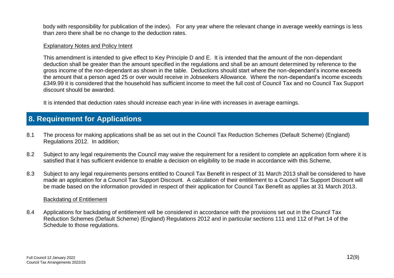body with responsibility for publication of the index). For any year where the relevant change in average weekly earnings is less than zero there shall be no change to the deduction rates.

#### Explanatory Notes and Policy Intent

This amendment is intended to give effect to Key Principle D and E. It is intended that the amount of the non-dependant deduction shall be greater than the amount specified in the regulations and shall be an amount determined by reference to the gross income of the non-dependant as shown in the table. Deductions should start where the non-dependant's income exceeds the amount that a person aged 25 or over would receive in Jobseekers Allowance. Where the non-dependant's income exceeds £349.99 it is considered that the household has sufficient income to meet the full cost of Council Tax and no Council Tax Support discount should be awarded.

It is intended that deduction rates should increase each year in-line with increases in average earnings.

## **8. Requirement for Applications**

- 8.1 The process for making applications shall be as set out in the Council Tax Reduction Schemes (Default Scheme) (England) Regulations 2012. In addition;
- 8.2 Subject to any legal requirements the Council may waive the requirement for a resident to complete an application form where it is satisfied that it has sufficient evidence to enable a decision on eligibility to be made in accordance with this Scheme.
- 8.3 Subject to any legal requirements persons entitled to Council Tax Benefit in respect of 31 March 2013 shall be considered to have made an application for a Council Tax Support Discount. A calculation of their entitlement to a Council Tax Support Discount will be made based on the information provided in respect of their application for Council Tax Benefit as applies at 31 March 2013.

#### Backdating of Entitlement

8.4 Applications for backdating of entitlement will be considered in accordance with the provisions set out in the Council Tax Reduction Schemes (Default Scheme) (England) Regulations 2012 and in particular sections 111 and 112 of Part 14 of the Schedule to those regulations.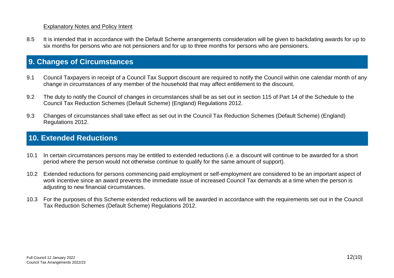#### Explanatory Notes and Policy Intent

8.5 It is intended that in accordance with the Default Scheme arrangements consideration will be given to backdating awards for up to six months for persons who are not pensioners and for up to three months for persons who are pensioners.

## **9. Changes of Circumstances**

- 9.1 Council Taxpayers in receipt of a Council Tax Support discount are required to notify the Council within one calendar month of any **Republications** change in circumstances of any member of the household that may affect entitlement to the discount.
- 9.2 The duty to notify the Council of changes in circumstances shall be as set out in section 115 of Part 14 of the Schedule to the Council Tax Reduction Schemes (Default Scheme) (England) Regulations 2012.
- 9.3 Changes of circumstances shall take effect as set out in the Council Tax Reduction Schemes (Default Scheme) (England) Regulations 2012.

## **10. Extended Reductions**

**Requirement for Applications**

- 10.1 In certain circumstances persons may be entitled to extended reductions (i.e. a discount will continue to be awarded for a short period where the person would not otherwise continue to qualify for the same amount of support).
- 10.2 Extended reductions for persons commencing paid employment or self-employment are considered to be an important aspect of work incentive since an award prevents the immediate issue of increased Council Tax demands at a time when the person is adjusting to new financial circumstances.
- 10.3 For the purposes of this Scheme extended reductions will be awarded in accordance with the requirements set out in the Council Tax Reduction Schemes (Default Scheme) Regulations 2012.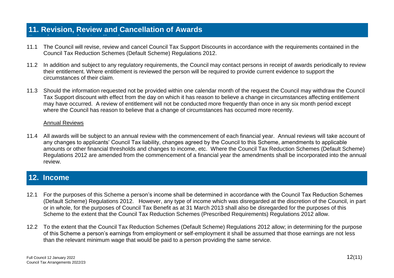## **11. Revision, Review and Cancellation of Awards**

- 11.1 The Council will revise, review and cancel Council Tax Support Discounts in accordance with the requirements contained in the Council Tax Reduction Schemes (Default Scheme) Regulations 2012.
- 11.2 In addition and subject to any regulatory requirements, the Council may contact persons in receipt of awards periodically to review their entitlement. Where entitlement is reviewed the person will be required to provide current evidence to support the circumstances of their claim.
- 11.3 Should the information requested not be provided within one calendar month of the request the Council may withdraw the Council Tax Support discount with effect from the day on which it has reason to believe a change in circumstances affecting entitlement may have occurred. A review of entitlement will not be conducted more frequently than once in any six month period except where the Council has reason to believe that a change of circumstances has occurred more recently.

#### Annual Reviews

**Requirement for Applications**

11.4 All awards will be subject to an annual review with the commencement of each financial year. Annual reviews will take account of any changes to applicants' Council Tax liability, changes agreed by the Council to this Scheme, amendments to applicable amounts or other financial thresholds and changes to income, etc. Where the Council Tax Reduction Schemes (Default Scheme) Regulations 2012 are amended from the commencement of a financial year the amendments shall be incorporated into the annual review.

### **12. Income**

- 12.1 For the purposes of this Scheme a person's income shall be determined in accordance with the Council Tax Reduction Schemes (Default Scheme) Regulations 2012. However, any type of income which was disregarded at the discretion of the Council, in part or in whole, for the purposes of Council Tax Benefit as at 31 March 2013 shall also be disregarded for the purposes of this Scheme to the extent that the Council Tax Reduction Schemes (Prescribed Requirements) Regulations 2012 allow.
- 12.2 To the extent that the Council Tax Reduction Schemes (Default Scheme) Regulations 2012 allow; in determining for the purpose of this Scheme a person's earnings from employment or self-employment it shall be assumed that those earnings are not less than the relevant minimum wage that would be paid to a person providing the same service.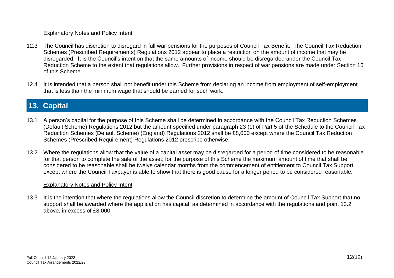#### Explanatory Notes and Policy Intent

- 12.3 The Council has discretion to disregard in full war pensions for the purposes of Council Tax Benefit. The Council Tax Reduction Schemes (Prescribed Requirements) Regulations 2012 appear to place a restriction on the amount of income that may be disregarded. It is the Council's intention that the same amounts of income should be disregarded under the Council Tax Reduction Scheme to the extent that regulations allow. Further provisions in respect of war pensions are made under Section 16 of this Scheme.
- 12.4 It is intended that a person shall not benefit under this Scheme from declaring an income from employment of self-employment that is less than the minimum wage that should be earned for such work.

# **13. Capital**

- 13.1 A person's capital for the purpose of this Scheme shall be determined in accordance with the Council Tax Reduction Schemes (Default Scheme) Regulations 2012 but the amount specified under paragraph 23 (1) of Part 5 of the Schedule to the Council Tax Reduction Schemes (Default Scheme) (England) Regulations 2012 shall be £8,000 except where the Council Tax Reduction Schemes (Prescribed Requirement) Regulations 2012 prescribe otherwise.
- 13.2 Where the regulations allow that the value of a capital asset may be disregarded for a period of time considered to be reasonable for that person to complete the sale of the asset; for the purpose of this Scheme the maximum amount of time that shall be considered to be reasonable shall be twelve calendar months from the commencement of entitlement to Council Tax Support, except where the Council Taxpayer is able to show that there is good cause for a longer period to be considered reasonable.

#### Explanatory Notes and Policy Intent

13.3 It is the intention that where the regulations allow the Council discretion to determine the amount of Council Tax Support that no support shall be awarded where the application has capital, as determined in accordance with the regulations and point 13.2 above, in excess of £8,000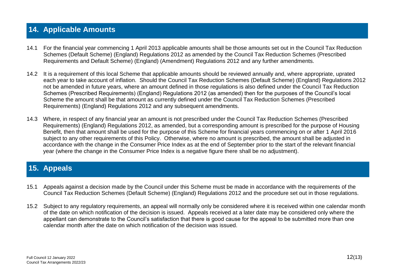## **14. Applicable Amounts**

- 14.1 For the financial year commencing 1 April 2013 applicable amounts shall be those amounts set out in the Council Tax Reduction Schemes (Default Scheme) (England) Regulations 2012 as amended by the Council Tax Reduction Schemes (Prescribed Requirements and Default Scheme) (England) (Amendment) Regulations 2012 and any further amendments.
- 14.2 It is a requirement of this local Scheme that applicable amounts should be reviewed annually and, where appropriate, uprated each year to take account of inflation. Should the Council Tax Reduction Schemes (Default Scheme) (England) Regulations 2012 not be amended in future years, where an amount defined in those regulations is also defined under the Council Tax Reduction Schemes (Prescribed Requirements) (England) Regulations 2012 (as amended) then for the purposes of the Council's local Scheme the amount shall be that amount as currently defined under the Council Tax Reduction Schemes (Prescribed Requirements) (England) Regulations 2012 and any subsequent amendments.
- 14.3 Where, in respect of any financial year an amount is not prescribed under the Council Tax Reduction Schemes (Prescribed Requirements) (England) Regulations 2012, as amended, but a corresponding amount is prescribed for the purpose of Housing Benefit, then that amount shall be used for the purpose of this Scheme for financial years commencing on or after 1 April 2016 subject to any other requirements of this Policy. Otherwise, where no amount is prescribed, the amount shall be adjusted in accordance with the change in the Consumer Price Index as at the end of September prior to the start of the relevant financial year (where the change in the Consumer Price Index is a negative figure there shall be no adjustment).

## **15. Appeals**

- 15.1 Appeals against a decision made by the Council under this Scheme must be made in accordance with the requirements of the Council Tax Reduction Schemes (Default Scheme) (England) Regulations 2012 and the procedure set out in those regulations.
- 15.2 Subject to any regulatory requirements, an appeal will normally only be considered where it is received within one calendar month of the date on which notification of the decision is issued. Appeals received at a later date may be considered only where the appellant can demonstrate to the Council's satisfaction that there is good cause for the appeal to be submitted more than one calendar month after the date on which notification of the decision was issued.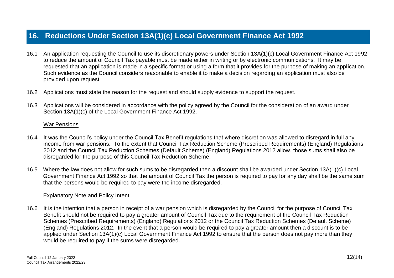## **16. Reductions Under Section 13A(1)(c) Local Government Finance Act 1992**

- 16.1 An application requesting the Council to use its discretionary powers under Section 13A(1)(c) Local Government Finance Act 1992 to reduce the amount of Council Tax payable must be made either in writing or by electronic communications. It may be requested that an application is made in a specific format or using a form that it provides for the purpose of making an application. Such evidence as the Council considers reasonable to enable it to make a decision regarding an application must also be provided upon request.
- 16.2 Applications must state the reason for the request and should supply evidence to support the request.
- 16.3 Applications will be considered in accordance with the policy agreed by the Council for the consideration of an award under Section 13A(1)(c) of the Local Government Finance Act 1992.

#### War Pensions

- 16.4 It was the Council's policy under the Council Tax Benefit regulations that where discretion was allowed to disregard in full any income from war pensions. To the extent that Council Tax Reduction Scheme (Prescribed Requirements) (England) Regulations 2012 and the Council Tax Reduction Schemes (Default Scheme) (England) Regulations 2012 allow, those sums shall also be disregarded for the purpose of this Council Tax Reduction Scheme.
- 16.5 Where the law does not allow for such sums to be disregarded then a discount shall be awarded under Section 13A(1)(c) Local Government Finance Act 1992 so that the amount of Council Tax the person is required to pay for any day shall be the same sum that the persons would be required to pay were the income disregarded.

#### Explanatory Note and Policy Intent

16.6 It is the intention that a person in receipt of a war pension which is disregarded by the Council for the purpose of Council Tax Benefit should not be required to pay a greater amount of Council Tax due to the requirement of the Council Tax Reduction Schemes (Prescribed Requirements) (England) Regulations 2012 or the Council Tax Reduction Schemes (Default Scheme) (England) Regulations 2012. In the event that a person would be required to pay a greater amount then a discount is to be applied under Section 13A(1)(c) Local Government Finance Act 1992 to ensure that the person does not pay more than they would be required to pay if the sums were disregarded.